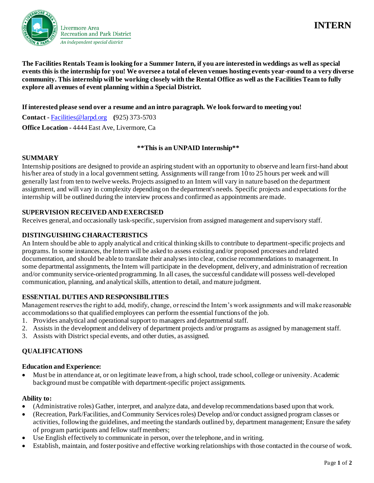

# **INTERN**

**The Facilities Rentals Team is looking for a Summer Intern, if you are interested in weddings as well as special events this is the internship for you! We oversee a total of eleven venues hosting events year-round to a very diverse community. This internship will be working closely with the Rental Office as well as the Facilities Team to fully explore all avenues of event planning within a Special District.** 

### **If interested please send over a resume and an intro paragraph. We look forward to meeting you!**

**Contact -** Facilities@larpd.org **(**925) 373-5703 **Office Location -** 4444 East Ave, Livermore, Ca

#### **\*\*This is an UNPAID Internship\*\***

# **SUMMARY**

Internship positions are designed to provide an aspiring student with an opportunity to observe and learn first-hand about his/her area of study in a local government setting. Assignments will range from 10 to 25 hours per week and will generally last from ten to twelve weeks. Projects assigned to an Intern will vary in nature based on the department assignment, and will vary in complexity depending on the department's needs. Specific projects and expectations for the internship will be outlined during the interview process and confirmed as appointments are made.

# **SUPERVISION RECEIVED AND EXERCISED**

Receives general, and occasionally task-specific, supervision from assigned management and supervisory staff.

# **DISTINGUISHING CHARACTERISTICS**

An Intern should be able to apply analytical and critical thinking skills to contribute to department-specific projects and programs. In some instances, the Intern will be asked to assess existing and/or proposed processes and related documentation, and should be able to translate their analyses into clear, concise recommendations to management. In some departmental assignments, the Intern will participate in the development, delivery, and administration of recreation and/or community service-oriented programming. In all cases, the successful candidate will possess well-developed communication, planning, and analytical skills, attention to detail, and mature judgment.

#### **ESSENTIAL DUTIES AND RESPONSIBILITIES**

Management reserves the right to add, modify, change, or rescind the Intern's work assignments and will make reasonable accommodationsso that qualified employees can perform the essential functions of the job.

- 1. Provides analytical and operational support to managers and departmental staff.
- 2. Assists in the development and delivery of department projects and/or programs as assigned by management staff.
- 3. Assists with District special events, and other duties, as assigned.

# **QUALIFICATIONS**

#### **Education and Experience:**

• Must be in attendance at, or on legitimate leave from, a high school, trade school, college or university. Academic background must be compatible with department-specific project assignments.

#### **Ability to:**

- (Administrative roles) Gather, interpret, and analyze data, and develop recommendations based upon that work.
- (Recreation, Park/Facilities, and Community Services roles) Develop and/or conduct assigned program classes or activities, following the guidelines, and meeting the standards outlined by, department management; Ensure the safety of program participants and fellow staffmembers;
- Use English effectively to communicate in person, over the telephone, and in writing.
- Establish, maintain, and foster positive and effective working relationships with those contacted in the course of work.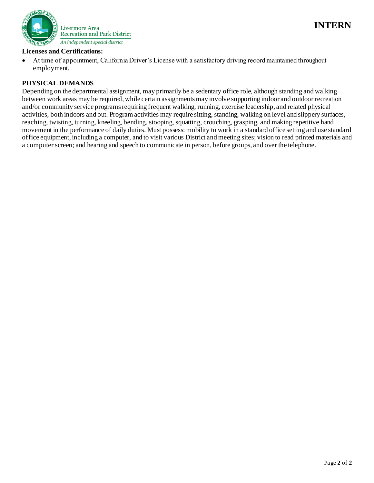



#### **Licenses and Certifications:**

• At time of appointment, California Driver's License with a satisfactory driving record maintained throughout employment.

#### **PHYSICAL DEMANDS**

Depending on the departmental assignment, may primarily be a sedentary office role, although standing and walking between work areas may be required, while certain assignments may involve supporting indoor and outdoor recreation and/or community service programs requiring frequent walking, running, exercise leadership, and related physical activities, both indoors and out. Program activities may require sitting, standing, walking on level and slippery surfaces, reaching, twisting, turning, kneeling, bending, stooping, squatting, crouching, grasping, and making repetitive hand movement in the performance of daily duties. Must possess: mobility to work in a standard office setting and use standard office equipment, including a computer, and to visit various District and meeting sites; vision to read printed materials and a computer screen; and hearing and speech to communicate in person, before groups, and over the telephone.